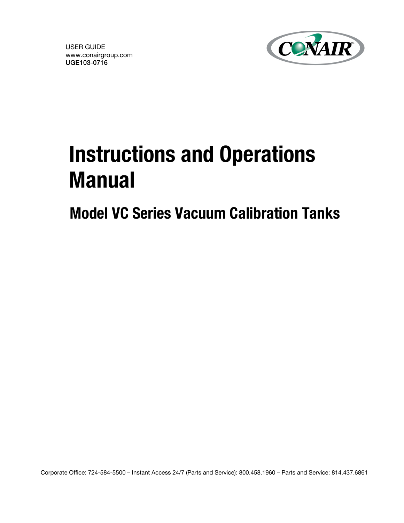USER GUIDE www.conairgroup.com UGE103-0716



# Instructions and Operations Manual

Model VC Series Vacuum Calibration Tanks

Corporate Office: 724-584-5500 – Instant Access 24/7 (Parts and Service): 800.458.1960 – Parts and Service: 814.437.6861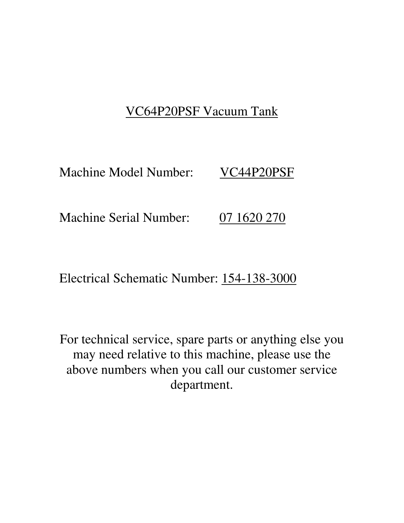## VC64P20PSF Vacuum Tank

Machine Model Number: VC44P20PSF

Machine Serial Number: 07 1620 270

Electrical Schematic Number: 154-138-3000

For technical service, spare parts or anything else you may need relative to this machine, please use the above numbers when you call our customer service department.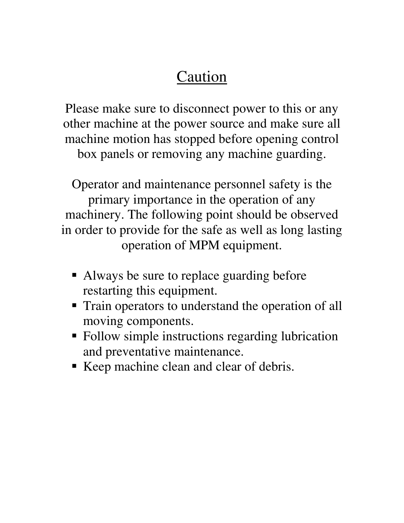## Caution

Please make sure to disconnect power to this or any other machine at the power source and make sure all machine motion has stopped before opening control box panels or removing any machine guarding.

Operator and maintenance personnel safety is the primary importance in the operation of any machinery. The following point should be observed in order to provide for the safe as well as long lasting operation of MPM equipment.

- Always be sure to replace guarding before restarting this equipment.
- **Train operators to understand the operation of all** moving components.
- Follow simple instructions regarding lubrication and preventative maintenance.
- Keep machine clean and clear of debris.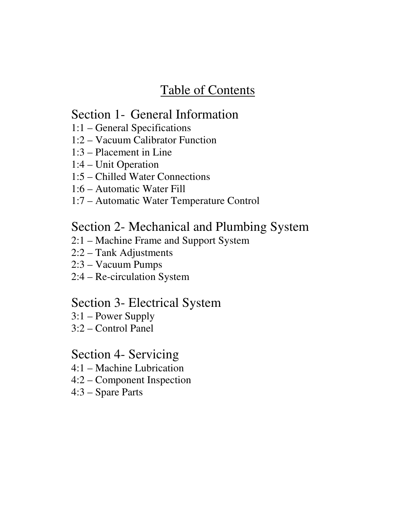## Table of Contents

#### Section 1- General Information

- 1:1 General Specifications
- 1:2 Vacuum Calibrator Function
- 1:3 Placement in Line
- 1:4 Unit Operation
- 1:5 Chilled Water Connections
- 1:6 Automatic Water Fill
- 1:7 Automatic Water Temperature Control

#### Section 2- Mechanical and Plumbing System

- 2:1 Machine Frame and Support System
- 2:2 Tank Adjustments
- 2:3 Vacuum Pumps
- 2:4 Re-circulation System

#### Section 3- Electrical System

- 3:1 Power Supply
- 3:2 Control Panel

#### Section 4- Servicing

- 4:1 Machine Lubrication
- 4:2 Component Inspection
- 4:3 Spare Parts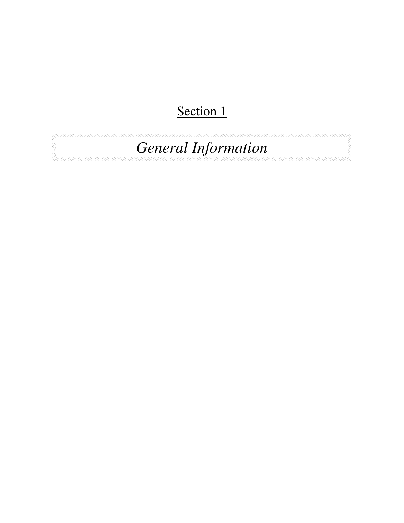## Section 1

*General Information*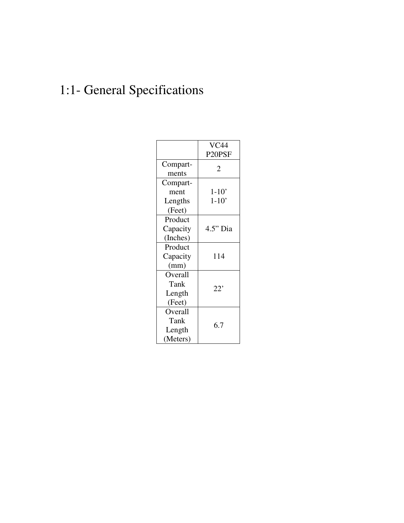## 1:1- General Specifications

|                                       | <b>VC44</b><br>P20PSF |  |
|---------------------------------------|-----------------------|--|
| Compart-<br>ments                     | 2                     |  |
| Compart-<br>ment                      | $1 - 10'$             |  |
| Lengths<br>(Feet)                     | $1 - 10'$             |  |
| Product<br>Capacity<br>(Inches)       | $4.5"$ Dia            |  |
| Product<br>Capacity<br>(mm)           | 114                   |  |
| Overall<br>Tank<br>Length<br>(Feet)   | 22'                   |  |
| Overall<br>Tank<br>Length<br>(Meters) | 6.7                   |  |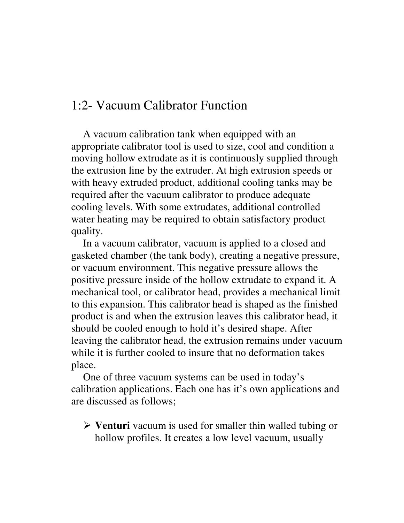#### 1:2- Vacuum Calibrator Function

 A vacuum calibration tank when equipped with an appropriate calibrator tool is used to size, cool and condition a moving hollow extrudate as it is continuously supplied through the extrusion line by the extruder. At high extrusion speeds or with heavy extruded product, additional cooling tanks may be required after the vacuum calibrator to produce adequate cooling levels. With some extrudates, additional controlled water heating may be required to obtain satisfactory product quality.

 In a vacuum calibrator, vacuum is applied to a closed and gasketed chamber (the tank body), creating a negative pressure, or vacuum environment. This negative pressure allows the positive pressure inside of the hollow extrudate to expand it. A mechanical tool, or calibrator head, provides a mechanical limit to this expansion. This calibrator head is shaped as the finished product is and when the extrusion leaves this calibrator head, it should be cooled enough to hold it's desired shape. After leaving the calibrator head, the extrusion remains under vacuum while it is further cooled to insure that no deformation takes place.

 One of three vacuum systems can be used in today's calibration applications. Each one has it's own applications and are discussed as follows;

- **Venturi** vacuum is used for smaller thin walled tubing or hollow profiles. It creates a low level vacuum, usually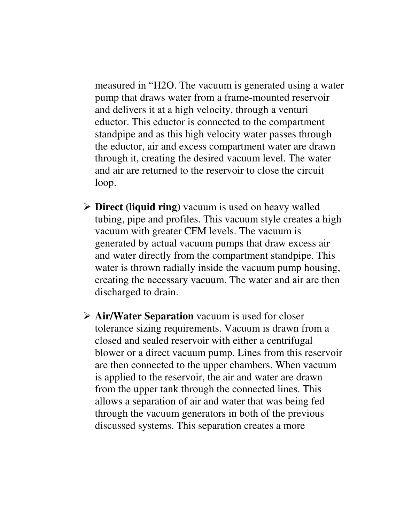measured in "H2O. The vacuum is generated using a water pump that draws water from a frame-mounted reservoir and delivers it at a high velocity, through a venturi eductor. This eductor is connected to the compartment standpipe and as this high velocity water passes through the eductor, air and excess compartment water are drawn through it, creating the desired vacuum level. The water and air are returned to the reservoir to close the circuit loop.

- **Direct (liquid ring)** vacuum is used on heavy walled tubing, pipe and profiles. This vacuum style creates a high vacuum with greater CFM levels. The vacuum is generated by actual vacuum pumps that draw excess air and water directly from the compartment standpipe. This water is thrown radially inside the vacuum pump housing, creating the necessary vacuum. The water and air are then discharged to drain.
- **Air/Water Separation** vacuum is used for closer tolerance sizing requirements. Vacuum is drawn from a closed and sealed reservoir with either a centrifugal blower or a direct vacuum pump. Lines from this reservoir are then connected to the upper chambers. When vacuum is applied to the reservoir, the air and water are drawn from the upper tank through the connected lines. This allows a separation of air and water that was being fed through the vacuum generators in both of the previous discussed systems. This separation creates a more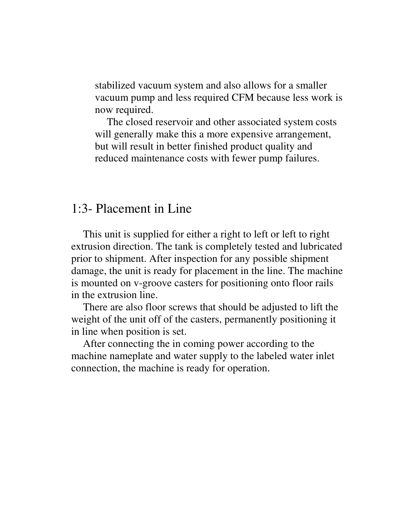stabilized vacuum system and also allows for a smaller vacuum pump and less required CFM because less work is now required.

The closed reservoir and other associated system costs will generally make this a more expensive arrangement, but will result in better finished product quality and reduced maintenance costs with fewer pump failures.

#### 1:3- Placement in Line

This unit is supplied for either a right to left or left to right extrusion direction. The tank is completely tested and lubricated prior to shipment. After inspection for any possible shipment damage, the unit is ready for placement in the line. The machine is mounted on v-groove casters for positioning onto floor rails in the extrusion line.

There are also floor screws that should be adjusted to lift the weight of the unit off of the casters, permanently positioning it in line when position is set.

After connecting the in coming power according to the machine nameplate and water supply to the labeled water inlet connection, the machine is ready for operation.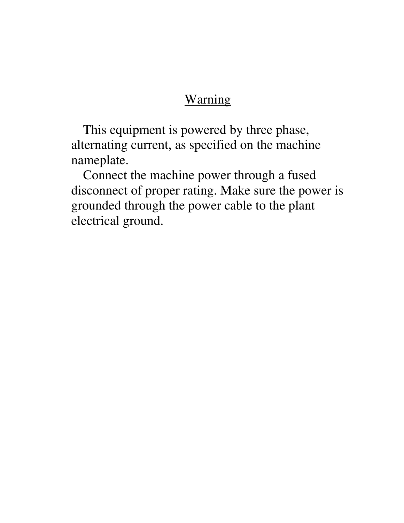#### Warning

This equipment is powered by three phase, alternating current, as specified on the machine nameplate.

Connect the machine power through a fused disconnect of proper rating. Make sure the power is grounded through the power cable to the plant electrical ground.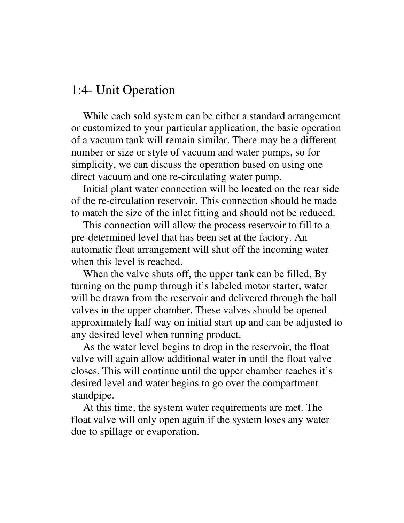#### 1:4- Unit Operation

While each sold system can be either a standard arrangement or customized to your particular application, the basic operation of a vacuum tank will remain similar. There may be a different number or size or style of vacuum and water pumps, so for simplicity, we can discuss the operation based on using one direct vacuum and one re-circulating water pump.

Initial plant water connection will be located on the rear side of the re-circulation reservoir. This connection should be made to match the size of the inlet fitting and should not be reduced.

This connection will allow the process reservoir to fill to a pre-determined level that has been set at the factory. An automatic float arrangement will shut off the incoming water when this level is reached.

When the valve shuts off, the upper tank can be filled. By turning on the pump through it's labeled motor starter, water will be drawn from the reservoir and delivered through the ball valves in the upper chamber. These valves should be opened approximately half way on initial start up and can be adjusted to any desired level when running product.

As the water level begins to drop in the reservoir, the float valve will again allow additional water in until the float valve closes. This will continue until the upper chamber reaches it's desired level and water begins to go over the compartment standpipe.

At this time, the system water requirements are met. The float valve will only open again if the system loses any water due to spillage or evaporation.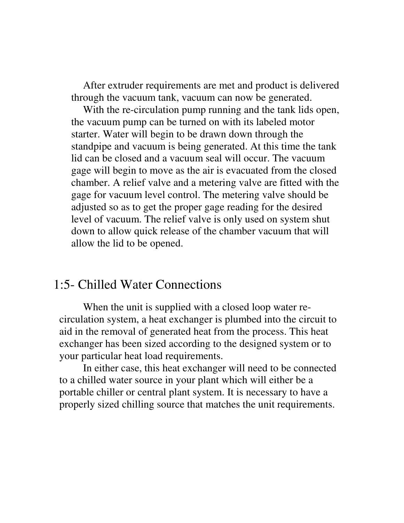After extruder requirements are met and product is delivered through the vacuum tank, vacuum can now be generated.

With the re-circulation pump running and the tank lids open, the vacuum pump can be turned on with its labeled motor starter. Water will begin to be drawn down through the standpipe and vacuum is being generated. At this time the tank lid can be closed and a vacuum seal will occur. The vacuum gage will begin to move as the air is evacuated from the closed chamber. A relief valve and a metering valve are fitted with the gage for vacuum level control. The metering valve should be adjusted so as to get the proper gage reading for the desired level of vacuum. The relief valve is only used on system shut down to allow quick release of the chamber vacuum that will allow the lid to be opened.

#### 1:5- Chilled Water Connections

When the unit is supplied with a closed loop water recirculation system, a heat exchanger is plumbed into the circuit to aid in the removal of generated heat from the process. This heat exchanger has been sized according to the designed system or to your particular heat load requirements.

In either case, this heat exchanger will need to be connected to a chilled water source in your plant which will either be a portable chiller or central plant system. It is necessary to have a properly sized chilling source that matches the unit requirements.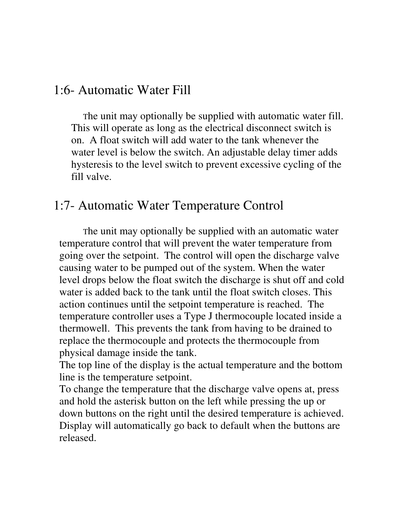#### 1:6- Automatic Water Fill

The unit may optionally be supplied with automatic water fill. This will operate as long as the electrical disconnect switch is on. A float switch will add water to the tank whenever the water level is below the switch. An adjustable delay timer adds hysteresis to the level switch to prevent excessive cycling of the fill valve.

#### 1:7- Automatic Water Temperature Control

The unit may optionally be supplied with an automatic water temperature control that will prevent the water temperature from going over the setpoint. The control will open the discharge valve causing water to be pumped out of the system. When the water level drops below the float switch the discharge is shut off and cold water is added back to the tank until the float switch closes. This action continues until the setpoint temperature is reached. The temperature controller uses a Type J thermocouple located inside a thermowell. This prevents the tank from having to be drained to replace the thermocouple and protects the thermocouple from physical damage inside the tank.

The top line of the display is the actual temperature and the bottom line is the temperature setpoint.

To change the temperature that the discharge valve opens at, press and hold the asterisk button on the left while pressing the up or down buttons on the right until the desired temperature is achieved. Display will automatically go back to default when the buttons are released.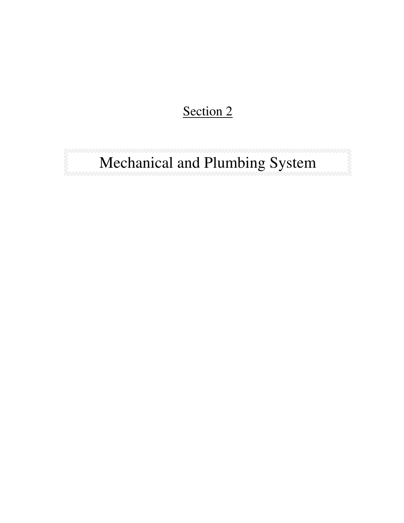## Section 2

# Mechanical and Plumbing System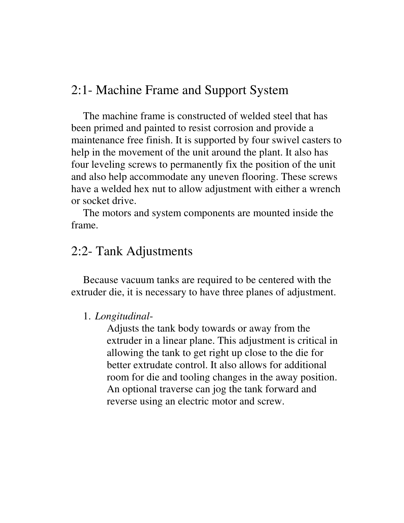#### 2:1- Machine Frame and Support System

The machine frame is constructed of welded steel that has been primed and painted to resist corrosion and provide a maintenance free finish. It is supported by four swivel casters to help in the movement of the unit around the plant. It also has four leveling screws to permanently fix the position of the unit and also help accommodate any uneven flooring. These screws have a welded hex nut to allow adjustment with either a wrench or socket drive.

 The motors and system components are mounted inside the frame.

#### 2:2- Tank Adjustments

 Because vacuum tanks are required to be centered with the extruder die, it is necessary to have three planes of adjustment.

#### 1. *Longitudinal*-

Adjusts the tank body towards or away from the extruder in a linear plane. This adjustment is critical in allowing the tank to get right up close to the die for better extrudate control. It also allows for additional room for die and tooling changes in the away position. An optional traverse can jog the tank forward and reverse using an electric motor and screw.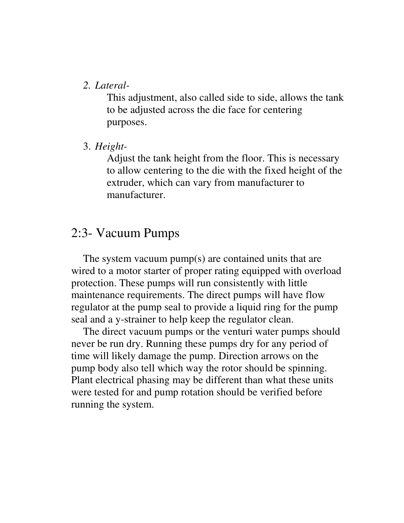#### *2. Lateral-*

This adjustment, also called side to side, allows the tank to be adjusted across the die face for centering purposes.

3. *Height-*

Adjust the tank height from the floor. This is necessary to allow centering to the die with the fixed height of the extruder, which can vary from manufacturer to manufacturer.

#### 2:3- Vacuum Pumps

The system vacuum pump(s) are contained units that are wired to a motor starter of proper rating equipped with overload protection. These pumps will run consistently with little maintenance requirements. The direct pumps will have flow regulator at the pump seal to provide a liquid ring for the pump seal and a y-strainer to help keep the regulator clean.

The direct vacuum pumps or the venturi water pumps should never be run dry. Running these pumps dry for any period of time will likely damage the pump. Direction arrows on the pump body also tell which way the rotor should be spinning. Plant electrical phasing may be different than what these units were tested for and pump rotation should be verified before running the system.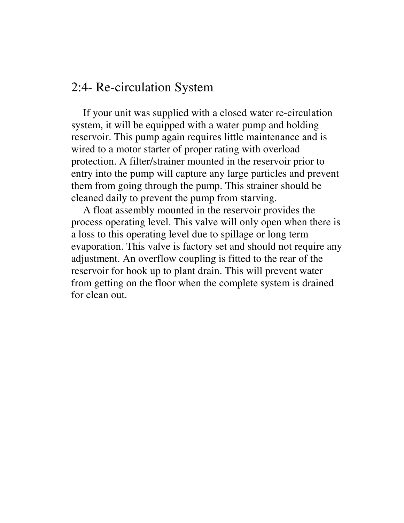#### 2:4- Re-circulation System

If your unit was supplied with a closed water re-circulation system, it will be equipped with a water pump and holding reservoir. This pump again requires little maintenance and is wired to a motor starter of proper rating with overload protection. A filter/strainer mounted in the reservoir prior to entry into the pump will capture any large particles and prevent them from going through the pump. This strainer should be cleaned daily to prevent the pump from starving.

 A float assembly mounted in the reservoir provides the process operating level. This valve will only open when there is a loss to this operating level due to spillage or long term evaporation. This valve is factory set and should not require any adjustment. An overflow coupling is fitted to the rear of the reservoir for hook up to plant drain. This will prevent water from getting on the floor when the complete system is drained for clean out.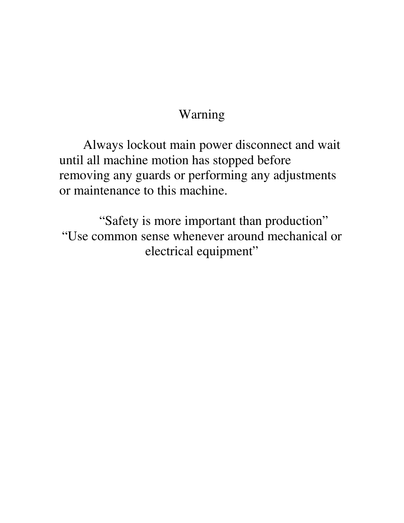## Warning

Always lockout main power disconnect and wait until all machine motion has stopped before removing any guards or performing any adjustments or maintenance to this machine.

"Safety is more important than production" "Use common sense whenever around mechanical or electrical equipment"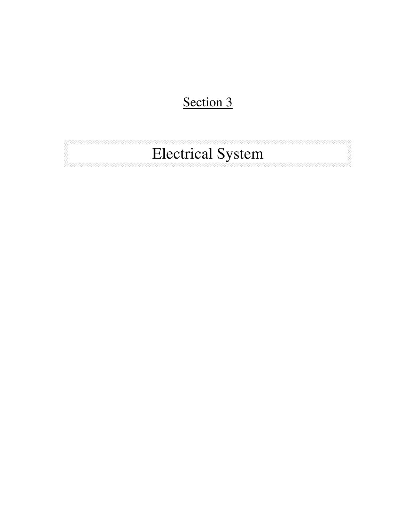## Section 3

# Electrical System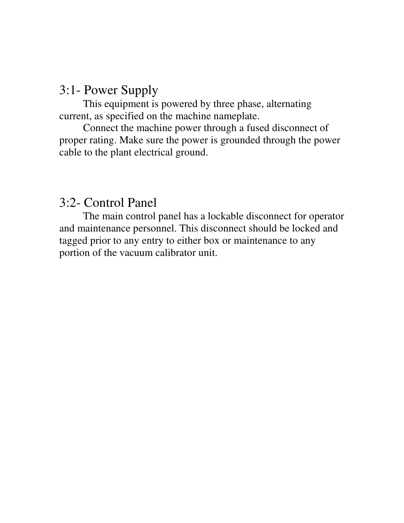### 3:1- Power Supply

This equipment is powered by three phase, alternating current, as specified on the machine nameplate.

Connect the machine power through a fused disconnect of proper rating. Make sure the power is grounded through the power cable to the plant electrical ground.

#### 3:2- Control Panel

The main control panel has a lockable disconnect for operator and maintenance personnel. This disconnect should be locked and tagged prior to any entry to either box or maintenance to any portion of the vacuum calibrator unit.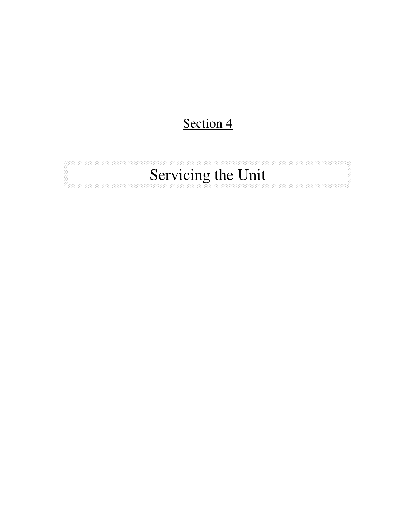## Section 4

# Servicing the Unit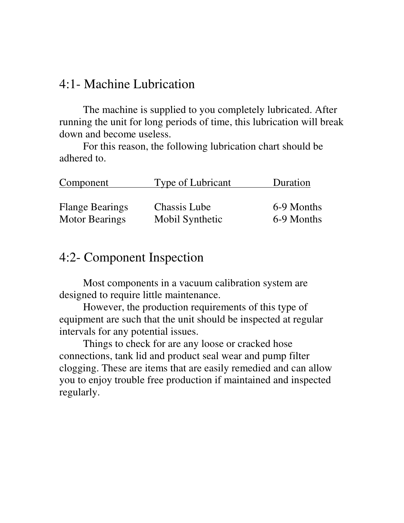#### 4:1- Machine Lubrication

The machine is supplied to you completely lubricated. After running the unit for long periods of time, this lubrication will break down and become useless.

For this reason, the following lubrication chart should be adhered to.

| Component              | Type of Lubricant | Duration   |
|------------------------|-------------------|------------|
| <b>Flange Bearings</b> | Chassis Lube      | 6-9 Months |
| <b>Motor Bearings</b>  | Mobil Synthetic   | 6-9 Months |

#### 4:2- Component Inspection

Most components in a vacuum calibration system are designed to require little maintenance.

However, the production requirements of this type of equipment are such that the unit should be inspected at regular intervals for any potential issues.

Things to check for are any loose or cracked hose connections, tank lid and product seal wear and pump filter clogging. These are items that are easily remedied and can allow you to enjoy trouble free production if maintained and inspected regularly.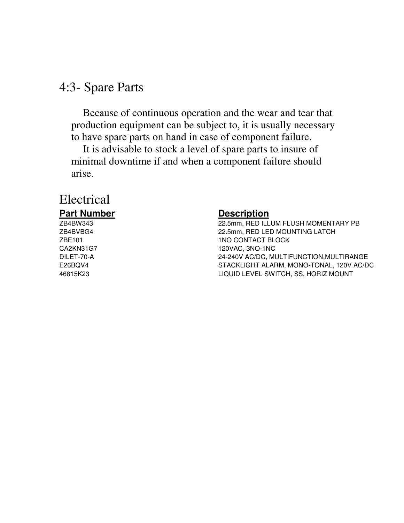#### 4:3- Spare Parts

Because of continuous operation and the wear and tear that production equipment can be subject to, it is usually necessary to have spare parts on hand in case of component failure.

It is advisable to stock a level of spare parts to insure of minimal downtime if and when a component failure should arise.

#### Electrical **Part Number Description**

ZB4BW343 22.5mm, RED ILLUM FLUSH MOMENTARY PB ZB4BVBG4 22.5mm, RED LED MOUNTING LATCH ZBE101 1NO CONTACT BLOCK CA2KN31G7 120VAC, 3NO-1NC DILET-70-A 24-240V AC/DC, MULTIFUNCTION,MULTIRANGE E26BQV4 STACKLIGHT ALARM, MONO-TONAL, 120V AC/DC 46815K23 LIQUID LEVEL SWITCH, SS, HORIZ MOUNT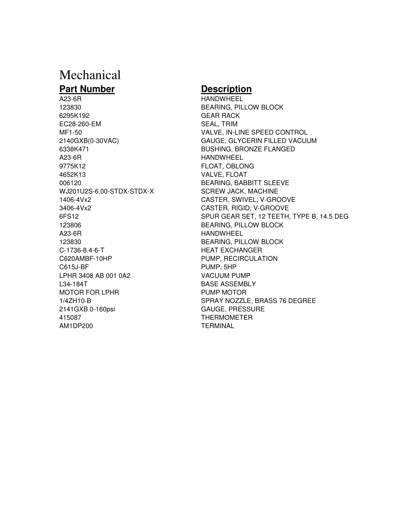## Mechanical

#### **Part Number Description**

123830 BEARING, PILLOW BLOCK 6295K192 GEAR RACK EC28-260-EM SEAL, TRIM 6338K471 BUSHING, BRONZE FLANGED A23-6R HANDWHEEL 9775K12 FLOAT, OBLONG 4652K13 VALVE, FLOAT 006120 BEARING, BABBITT SLEEVE WJ201U2S-6.00-STDX-STDX-X SCREW JACK, MACHINE 1406-4Vx2 CASTER, SWIVEL; V-GROOVE 3406-4Vx2 CASTER, RIGID; V-GROOVE 123806 BEARING, PILLOW BLOCK A23-6R HANDWHEEL 123830 BEARING, PILLOW BLOCK C-1736-8.4-6-T HEAT EXCHANGER C620AMBF-10HP PUMP, RECIRCULATION C615J-BF PUMP, 5HP LPHR 3408 AB 001 0A2 VACUUM PUMP L34-184T BASE ASSEMBLY MOTOR FOR LPHR PUMP MOTOR 2141GXB 0-160psi GAUGE, PRESSURE 415087 THERMOMETER AM1DP200 TERMINAL

A23-6R HANDWHEEL MF1-50 VALVE, IN-LINE SPEED CONTROL 2140GXB(0-30VAC) GAUGE, GLYCERIN FILLED VACUUM 6FS12 SPUR GEAR SET, 12 TEETH, TYPE B, 14.5 DEG 1/4ZH10-B SPRAY NOZZLE, BRASS 76 DEGREE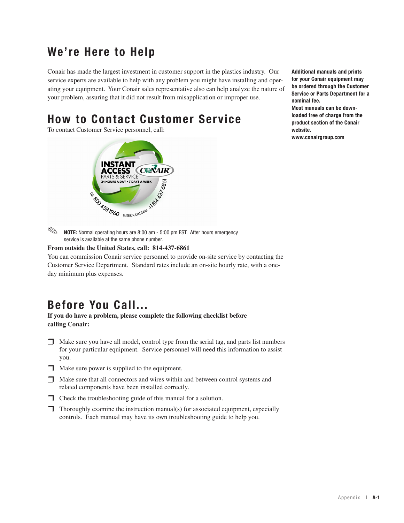## **We're Here to Help**

Conair has made the largest investment in customer support in the plastics industry. Our service experts are available to help with any problem you might have installing and operating your equipment. Your Conair sales representative also can help analyze the nature of your problem, assuring that it did not result from misapplication or improper use.

## **How to Contact Customer Service**

To contact Customer Service personnel, call:



**Additional manuals and prints for your Conair equipment may be ordered through the Customer Service or Parts Department for a nominal fee. Most manuals can be down-**

**loaded free of charge from the product section of the Conair website.**

**www.conairgroup.com**

**NOTE:** Normal operating hours are 8:00 am - 5:00 pm EST. After hours emergency service is available at the same phone number.  $\begin{picture}(20,20) \put(0,0){\line(1,0){10}} \put(15,0){\line(1,0){10}} \put(15,0){\line(1,0){10}} \put(15,0){\line(1,0){10}} \put(15,0){\line(1,0){10}} \put(15,0){\line(1,0){10}} \put(15,0){\line(1,0){10}} \put(15,0){\line(1,0){10}} \put(15,0){\line(1,0){10}} \put(15,0){\line(1,0){10}} \put(15,0){\line(1,0){10}} \put(15,0){\line(1$ 

#### **From outside the United States, call: 814-437-6861**

You can commission Conair service personnel to provide on-site service by contacting the Customer Service Department. Standard rates include an on-site hourly rate, with a oneday minimum plus expenses.

#### **Before You Call...**

**If you do have a problem, please complete the following checklist before calling Conair:**

- $\Box$  Make sure you have all model, control type from the serial tag, and parts list numbers for your particular equipment. Service personnel will need this information to assist you.
- $\Box$  Make sure power is supplied to the equipment.
- $\Box$  Make sure that all connectors and wires within and between control systems and related components have been installed correctly.
- $\Box$  Check the troubleshooting guide of this manual for a solution.
- $\Box$  Thoroughly examine the instruction manual(s) for associated equipment, especially controls. Each manual may have its own troubleshooting guide to help you.